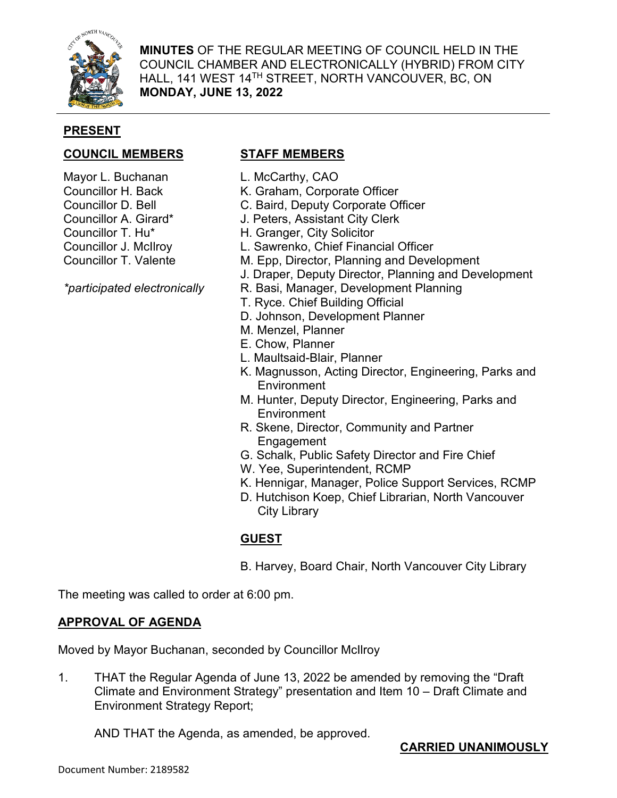

**MINUTES** OF THE REGULAR MEETING OF COUNCIL HELD IN THE COUNCIL CHAMBER AND ELECTRONICALLY (HYBRID) FROM CITY HALL, 141 WEST 14TH STREET, NORTH VANCOUVER, BC, ON **MONDAY, JUNE 13, 2022**

## **PRESENT**

## **COUNCIL MEMBERS STAFF MEMBERS**

- Mayor L. Buchanan
- Councillor H. Back
- Councillor D. Bell
- Councillor A. Girard\*
- Councillor T. Hu\*
- Councillor J. McIlroy
- Councillor T. Valente

*\*participated electronically*

- L. McCarthy, CAO
- K. Graham, Corporate Officer
- C. Baird, Deputy Corporate Officer
- J. Peters, Assistant City Clerk
- H. Granger, City Solicitor
- L. Sawrenko, Chief Financial Officer
- M. Epp, Director, Planning and Development
- J. Draper, Deputy Director, Planning and Development
- R. Basi, Manager, Development Planning
- T. Ryce. Chief Building Official
- D. Johnson, Development Planner
- M. Menzel, Planner
- E. Chow, Planner
- L. Maultsaid-Blair, Planner
- K. Magnusson, Acting Director, Engineering, Parks and **Environment**
- M. Hunter, Deputy Director, Engineering, Parks and **Environment**
- R. Skene, Director, Community and Partner Engagement
- G. Schalk, Public Safety Director and Fire Chief
- W. Yee, Superintendent, RCMP
- K. Hennigar, Manager, Police Support Services, RCMP
- D. Hutchison Koep, Chief Librarian, North Vancouver City Library

# **GUEST**

B. Harvey, Board Chair, North Vancouver City Library

The meeting was called to order at 6:00 pm.

## **APPROVAL OF AGENDA**

Moved by Mayor Buchanan, seconded by Councillor McIlroy

1. THAT the Regular Agenda of June 13, 2022 be amended by removing the "Draft Climate and Environment Strategy" presentation and Item 10 – Draft Climate and Environment Strategy Report;

AND THAT the Agenda, as amended, be approved.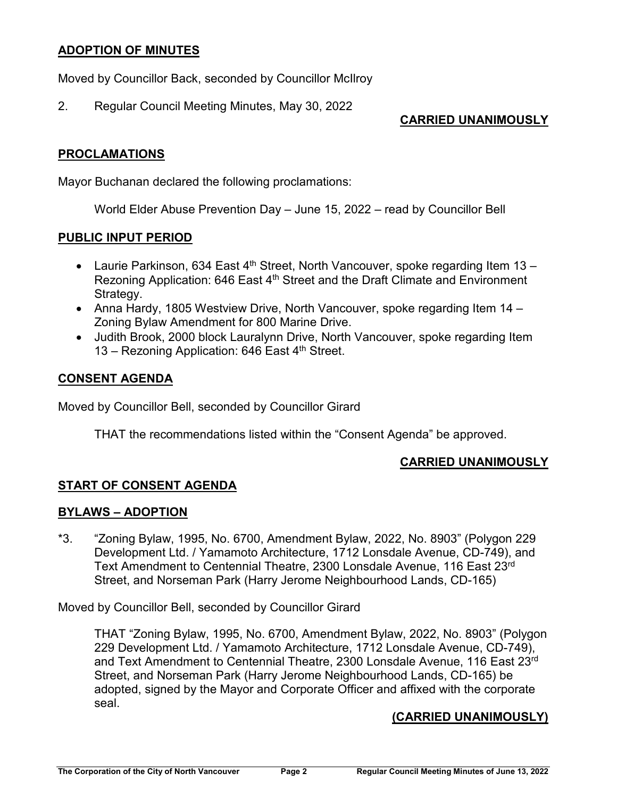### **ADOPTION OF MINUTES**

Moved by Councillor Back, seconded by Councillor McIlroy

2. Regular Council Meeting Minutes, May 30, 2022

## **CARRIED UNANIMOUSLY**

## **PROCLAMATIONS**

Mayor Buchanan declared the following proclamations:

World Elder Abuse Prevention Day – June 15, 2022 – read by Councillor Bell

## **PUBLIC INPUT PERIOD**

- Laurie Parkinson, 634 East  $4<sup>th</sup>$  Street, North Vancouver, spoke regarding Item 13 Rezoning Application: 646 East 4<sup>th</sup> Street and the Draft Climate and Environment Strategy.
- Anna Hardy, 1805 Westview Drive, North Vancouver, spoke regarding Item 14 Zoning Bylaw Amendment for 800 Marine Drive.
- Judith Brook, 2000 block Lauralynn Drive, North Vancouver, spoke regarding Item 13 – Rezoning Application: 646 East  $4<sup>th</sup>$  Street.

## **CONSENT AGENDA**

Moved by Councillor Bell, seconded by Councillor Girard

THAT the recommendations listed within the "Consent Agenda" be approved.

#### **CARRIED UNANIMOUSLY**

## **START OF CONSENT AGENDA**

#### **BYLAWS – ADOPTION**

\*3. "Zoning Bylaw, 1995, No. 6700, Amendment Bylaw, 2022, No. 8903" (Polygon 229 Development Ltd. / Yamamoto Architecture, 1712 Lonsdale Avenue, CD-749), and Text Amendment to Centennial Theatre, 2300 Lonsdale Avenue, 116 East 23rd Street, and Norseman Park (Harry Jerome Neighbourhood Lands, CD-165)

Moved by Councillor Bell, seconded by Councillor Girard

THAT "Zoning Bylaw, 1995, No. 6700, Amendment Bylaw, 2022, No. 8903" (Polygon 229 Development Ltd. / Yamamoto Architecture, 1712 Lonsdale Avenue, CD-749), and Text Amendment to Centennial Theatre, 2300 Lonsdale Avenue, 116 East 23rd Street, and Norseman Park (Harry Jerome Neighbourhood Lands, CD-165) be adopted, signed by the Mayor and Corporate Officer and affixed with the corporate seal.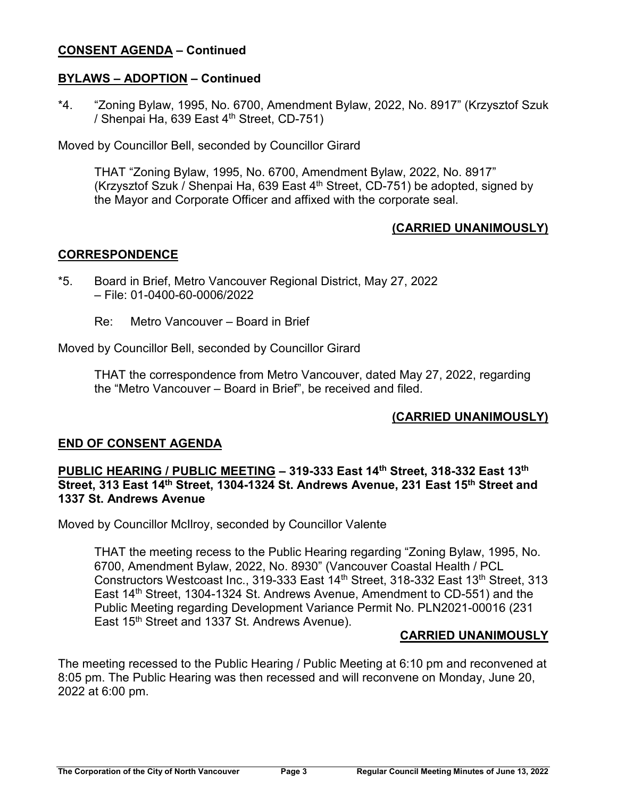### **CONSENT AGENDA – Continued**

#### **BYLAWS – ADOPTION – Continued**

\*4. "Zoning Bylaw, 1995, No. 6700, Amendment Bylaw, 2022, No. 8917" (Krzysztof Szuk / Shenpai Ha, 639 East  $4<sup>th</sup>$  Street, CD-751)

Moved by Councillor Bell, seconded by Councillor Girard

THAT "Zoning Bylaw, 1995, No. 6700, Amendment Bylaw, 2022, No. 8917" (Krzysztof Szuk / Shenpai Ha, 639 East  $4<sup>th</sup>$  Street, CD-751) be adopted, signed by the Mayor and Corporate Officer and affixed with the corporate seal.

# **(CARRIED UNANIMOUSLY)**

## **CORRESPONDENCE**

- \*5. Board in Brief, Metro Vancouver Regional District, May 27, 2022 – File: 01-0400-60-0006/2022
	- Re: Metro Vancouver Board in Brief

Moved by Councillor Bell, seconded by Councillor Girard

THAT the correspondence from Metro Vancouver, dated May 27, 2022, regarding the "Metro Vancouver – Board in Brief", be received and filed.

## **(CARRIED UNANIMOUSLY)**

## **END OF CONSENT AGENDA**

#### **PUBLIC HEARING / PUBLIC MEETING – 319-333 East 14th Street, 318-332 East 13th Street, 313 East 14th Street, 1304-1324 St. Andrews Avenue, 231 East 15th Street and 1337 St. Andrews Avenue**

Moved by Councillor McIlroy, seconded by Councillor Valente

THAT the meeting recess to the Public Hearing regarding "Zoning Bylaw, 1995, No. 6700, Amendment Bylaw, 2022, No. 8930" (Vancouver Coastal Health / PCL Constructors Westcoast Inc., 319-333 East 14<sup>th</sup> Street, 318-332 East 13<sup>th</sup> Street, 313 East 14<sup>th</sup> Street, 1304-1324 St. Andrews Avenue, Amendment to CD-551) and the Public Meeting regarding Development Variance Permit No. PLN2021-00016 (231 East 15th Street and 1337 St. Andrews Avenue).

#### **CARRIED UNANIMOUSLY**

The meeting recessed to the Public Hearing / Public Meeting at 6:10 pm and reconvened at 8:05 pm. The Public Hearing was then recessed and will reconvene on Monday, June 20, 2022 at 6:00 pm.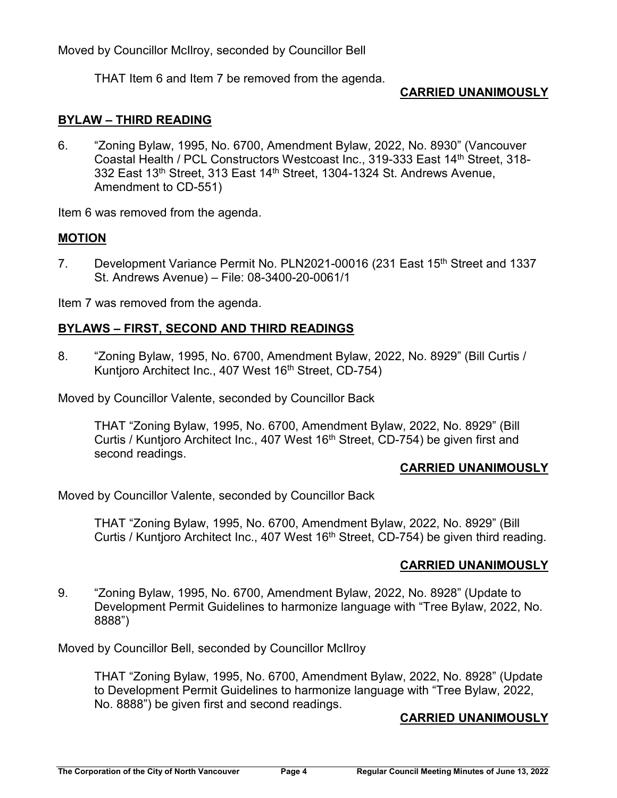Moved by Councillor McIlroy, seconded by Councillor Bell

THAT Item 6 and Item 7 be removed from the agenda.

## **CARRIED UNANIMOUSLY**

## **BYLAW – THIRD READING**

6. "Zoning Bylaw, 1995, No. 6700, Amendment Bylaw, 2022, No. 8930" (Vancouver Coastal Health / PCL Constructors Westcoast Inc., 319-333 East 14<sup>th</sup> Street, 318-332 East 13<sup>th</sup> Street, 313 East 14<sup>th</sup> Street, 1304-1324 St. Andrews Avenue, Amendment to CD-551)

Item 6 was removed from the agenda.

#### **MOTION**

7. Development Variance Permit No. PLN2021-00016 (231 East 15<sup>th</sup> Street and 1337 St. Andrews Avenue) – File: 08-3400-20-0061/1

Item 7 was removed from the agenda.

## **BYLAWS – FIRST, SECOND AND THIRD READINGS**

8. "Zoning Bylaw, 1995, No. 6700, Amendment Bylaw, 2022, No. 8929" (Bill Curtis / Kuntjoro Architect Inc., 407 West 16<sup>th</sup> Street, CD-754)

Moved by Councillor Valente, seconded by Councillor Back

THAT "Zoning Bylaw, 1995, No. 6700, Amendment Bylaw, 2022, No. 8929" (Bill Curtis / Kuntjoro Architect Inc., 407 West 16<sup>th</sup> Street, CD-754) be given first and second readings.

#### **CARRIED UNANIMOUSLY**

Moved by Councillor Valente, seconded by Councillor Back

THAT "Zoning Bylaw, 1995, No. 6700, Amendment Bylaw, 2022, No. 8929" (Bill Curtis / Kuntjoro Architect Inc., 407 West  $16<sup>th</sup>$  Street, CD-754) be given third reading.

#### **CARRIED UNANIMOUSLY**

9. "Zoning Bylaw, 1995, No. 6700, Amendment Bylaw, 2022, No. 8928" (Update to Development Permit Guidelines to harmonize language with "Tree Bylaw, 2022, No. 8888")

Moved by Councillor Bell, seconded by Councillor McIlroy

THAT "Zoning Bylaw, 1995, No. 6700, Amendment Bylaw, 2022, No. 8928" (Update to Development Permit Guidelines to harmonize language with "Tree Bylaw, 2022, No. 8888") be given first and second readings.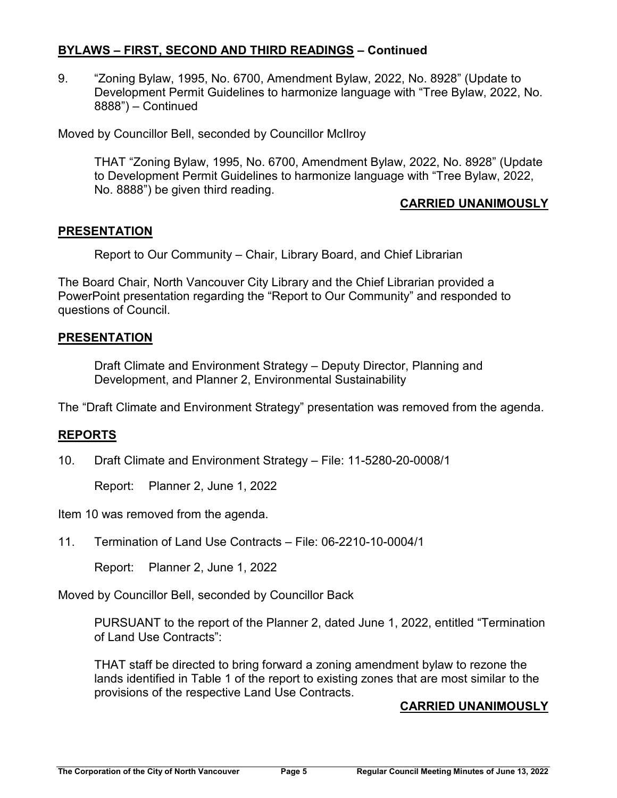### **BYLAWS – FIRST, SECOND AND THIRD READINGS – Continued**

9. "Zoning Bylaw, 1995, No. 6700, Amendment Bylaw, 2022, No. 8928" (Update to Development Permit Guidelines to harmonize language with "Tree Bylaw, 2022, No. 8888") – Continued

Moved by Councillor Bell, seconded by Councillor McIlroy

THAT "Zoning Bylaw, 1995, No. 6700, Amendment Bylaw, 2022, No. 8928" (Update to Development Permit Guidelines to harmonize language with "Tree Bylaw, 2022, No. 8888") be given third reading.

## **CARRIED UNANIMOUSLY**

#### **PRESENTATION**

Report to Our Community – Chair, Library Board, and Chief Librarian

The Board Chair, North Vancouver City Library and the Chief Librarian provided a PowerPoint presentation regarding the "Report to Our Community" and responded to questions of Council.

## **PRESENTATION**

Draft Climate and Environment Strategy – Deputy Director, Planning and Development, and Planner 2, Environmental Sustainability

The "Draft Climate and Environment Strategy" presentation was removed from the agenda.

#### **REPORTS**

10. Draft Climate and Environment Strategy – File: 11-5280-20-0008/1

Report: Planner 2, June 1, 2022

Item 10 was removed from the agenda.

11. Termination of Land Use Contracts – File: 06-2210-10-0004/1

Report: Planner 2, June 1, 2022

Moved by Councillor Bell, seconded by Councillor Back

PURSUANT to the report of the Planner 2, dated June 1, 2022, entitled "Termination of Land Use Contracts":

THAT staff be directed to bring forward a zoning amendment bylaw to rezone the lands identified in Table 1 of the report to existing zones that are most similar to the provisions of the respective Land Use Contracts.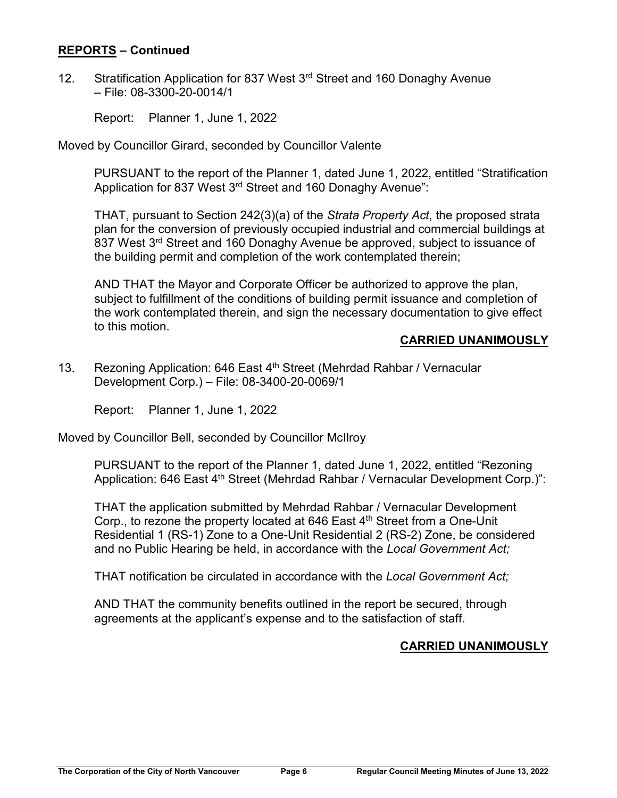#### **REPORTS – Continued**

12. Stratification Application for 837 West 3<sup>rd</sup> Street and 160 Donaghy Avenue – File: 08-3300-20-0014/1

Report: Planner 1, June 1, 2022

Moved by Councillor Girard, seconded by Councillor Valente

PURSUANT to the report of the Planner 1, dated June 1, 2022, entitled "Stratification Application for 837 West 3<sup>rd</sup> Street and 160 Donaghy Avenue":

THAT, pursuant to Section 242(3)(a) of the *Strata Property Act*, the proposed strata plan for the conversion of previously occupied industrial and commercial buildings at 837 West 3rd Street and 160 Donaghy Avenue be approved, subject to issuance of the building permit and completion of the work contemplated therein;

AND THAT the Mayor and Corporate Officer be authorized to approve the plan, subject to fulfillment of the conditions of building permit issuance and completion of the work contemplated therein, and sign the necessary documentation to give effect to this motion.

## **CARRIED UNANIMOUSLY**

13. Rezoning Application: 646 East 4<sup>th</sup> Street (Mehrdad Rahbar / Vernacular Development Corp.) – File: 08-3400-20-0069/1

Report: Planner 1, June 1, 2022

Moved by Councillor Bell, seconded by Councillor McIlroy

PURSUANT to the report of the Planner 1, dated June 1, 2022, entitled "Rezoning Application: 646 East 4<sup>th</sup> Street (Mehrdad Rahbar / Vernacular Development Corp.)":

THAT the application submitted by Mehrdad Rahbar / Vernacular Development Corp., to rezone the property located at 646 East 4<sup>th</sup> Street from a One-Unit Residential 1 (RS-1) Zone to a One-Unit Residential 2 (RS-2) Zone, be considered and no Public Hearing be held, in accordance with the *Local Government Act;*

THAT notification be circulated in accordance with the *Local Government Act;*

AND THAT the community benefits outlined in the report be secured, through agreements at the applicant's expense and to the satisfaction of staff.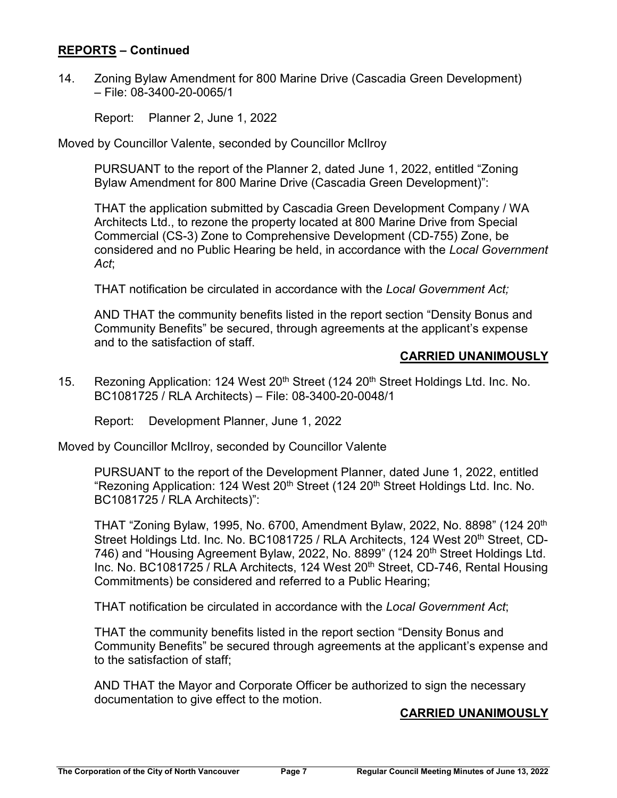#### **REPORTS – Continued**

14. Zoning Bylaw Amendment for 800 Marine Drive (Cascadia Green Development) – File: 08-3400-20-0065/1

Report: Planner 2, June 1, 2022

Moved by Councillor Valente, seconded by Councillor McIlroy

PURSUANT to the report of the Planner 2, dated June 1, 2022, entitled "Zoning Bylaw Amendment for 800 Marine Drive (Cascadia Green Development)":

THAT the application submitted by Cascadia Green Development Company / WA Architects Ltd., to rezone the property located at 800 Marine Drive from Special Commercial (CS-3) Zone to Comprehensive Development (CD-755) Zone, be considered and no Public Hearing be held, in accordance with the *Local Government Act*;

THAT notification be circulated in accordance with the *Local Government Act;*

AND THAT the community benefits listed in the report section "Density Bonus and Community Benefits" be secured, through agreements at the applicant's expense and to the satisfaction of staff.

## **CARRIED UNANIMOUSLY**

15. Rezoning Application: 124 West 20<sup>th</sup> Street (124 20<sup>th</sup> Street Holdings Ltd. Inc. No. BC1081725 / RLA Architects) – File: 08-3400-20-0048/1

Report: Development Planner, June 1, 2022

Moved by Councillor McIlroy, seconded by Councillor Valente

PURSUANT to the report of the Development Planner, dated June 1, 2022, entitled "Rezoning Application: 124 West 20<sup>th</sup> Street (124 20<sup>th</sup> Street Holdings Ltd. Inc. No. BC1081725 / RLA Architects)":

THAT "Zoning Bylaw, 1995, No. 6700, Amendment Bylaw, 2022, No. 8898" (124 20th Street Holdings Ltd. Inc. No. BC1081725 / RLA Architects, 124 West 20<sup>th</sup> Street, CD-746) and "Housing Agreement Bylaw, 2022, No. 8899" (124 20<sup>th</sup> Street Holdings Ltd. Inc. No. BC1081725 / RLA Architects, 124 West 20<sup>th</sup> Street, CD-746, Rental Housing Commitments) be considered and referred to a Public Hearing;

THAT notification be circulated in accordance with the *Local Government Act*;

THAT the community benefits listed in the report section "Density Bonus and Community Benefits" be secured through agreements at the applicant's expense and to the satisfaction of staff;

AND THAT the Mayor and Corporate Officer be authorized to sign the necessary documentation to give effect to the motion.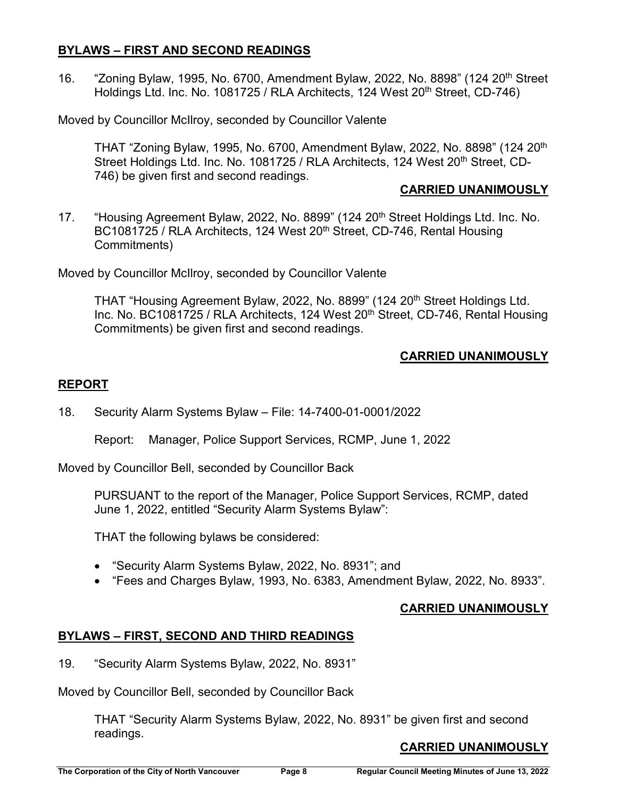#### **BYLAWS – FIRST AND SECOND READINGS**

16. "Zoning Bylaw, 1995, No. 6700, Amendment Bylaw, 2022, No. 8898" (124 20th Street Holdings Ltd. Inc. No. 1081725 / RLA Architects, 124 West 20<sup>th</sup> Street, CD-746)

Moved by Councillor McIlroy, seconded by Councillor Valente

THAT "Zoning Bylaw, 1995, No. 6700, Amendment Bylaw, 2022, No. 8898" (124 20th Street Holdings Ltd. Inc. No. 1081725 / RLA Architects, 124 West 20<sup>th</sup> Street, CD-746) be given first and second readings.

#### **CARRIED UNANIMOUSLY**

17. "Housing Agreement Bylaw, 2022, No. 8899" (124 20<sup>th</sup> Street Holdings Ltd. Inc. No. BC1081725 / RLA Architects, 124 West 20<sup>th</sup> Street, CD-746, Rental Housing Commitments)

Moved by Councillor McIlroy, seconded by Councillor Valente

THAT "Housing Agreement Bylaw, 2022, No. 8899" (124 20<sup>th</sup> Street Holdings Ltd. Inc. No. BC1081725 / RLA Architects, 124 West 20<sup>th</sup> Street, CD-746, Rental Housing Commitments) be given first and second readings.

# **CARRIED UNANIMOUSLY**

## **REPORT**

18. Security Alarm Systems Bylaw – File: 14-7400-01-0001/2022

Report: Manager, Police Support Services, RCMP, June 1, 2022

Moved by Councillor Bell, seconded by Councillor Back

PURSUANT to the report of the Manager, Police Support Services, RCMP, dated June 1, 2022, entitled "Security Alarm Systems Bylaw":

THAT the following bylaws be considered:

- "Security Alarm Systems Bylaw, 2022, No. 8931"; and
- "Fees and Charges Bylaw, 1993, No. 6383, Amendment Bylaw, 2022, No. 8933".

## **CARRIED UNANIMOUSLY**

## **BYLAWS – FIRST, SECOND AND THIRD READINGS**

19. "Security Alarm Systems Bylaw, 2022, No. 8931"

Moved by Councillor Bell, seconded by Councillor Back

THAT "Security Alarm Systems Bylaw, 2022, No. 8931" be given first and second readings.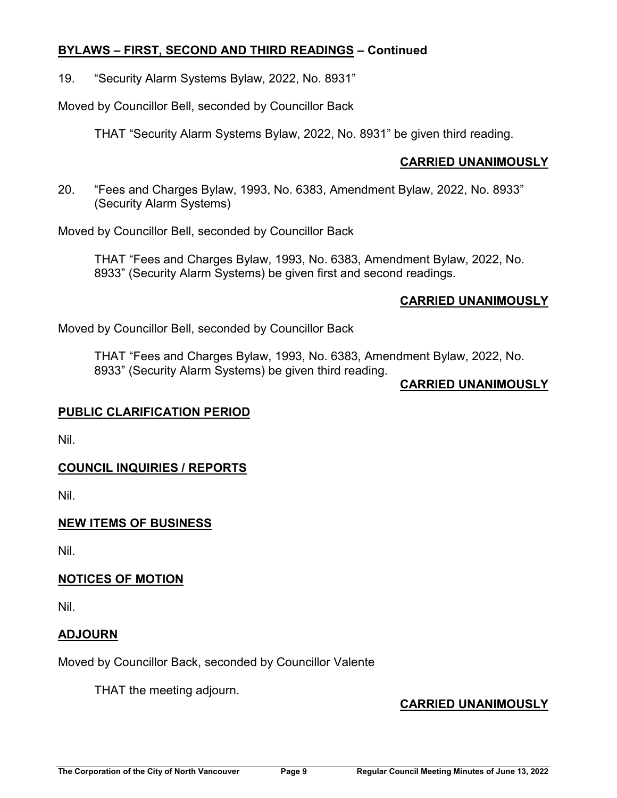### **BYLAWS – FIRST, SECOND AND THIRD READINGS – Continued**

19. "Security Alarm Systems Bylaw, 2022, No. 8931"

Moved by Councillor Bell, seconded by Councillor Back

THAT "Security Alarm Systems Bylaw, 2022, No. 8931" be given third reading.

## **CARRIED UNANIMOUSLY**

20. "Fees and Charges Bylaw, 1993, No. 6383, Amendment Bylaw, 2022, No. 8933" (Security Alarm Systems)

Moved by Councillor Bell, seconded by Councillor Back

THAT "Fees and Charges Bylaw, 1993, No. 6383, Amendment Bylaw, 2022, No. 8933" (Security Alarm Systems) be given first and second readings.

## **CARRIED UNANIMOUSLY**

Moved by Councillor Bell, seconded by Councillor Back

THAT "Fees and Charges Bylaw, 1993, No. 6383, Amendment Bylaw, 2022, No. 8933" (Security Alarm Systems) be given third reading.

#### **CARRIED UNANIMOUSLY**

#### **PUBLIC CLARIFICATION PERIOD**

Nil.

# **COUNCIL INQUIRIES / REPORTS**

Nil.

## **NEW ITEMS OF BUSINESS**

Nil.

## **NOTICES OF MOTION**

Nil.

## **ADJOURN**

Moved by Councillor Back, seconded by Councillor Valente

THAT the meeting adjourn.